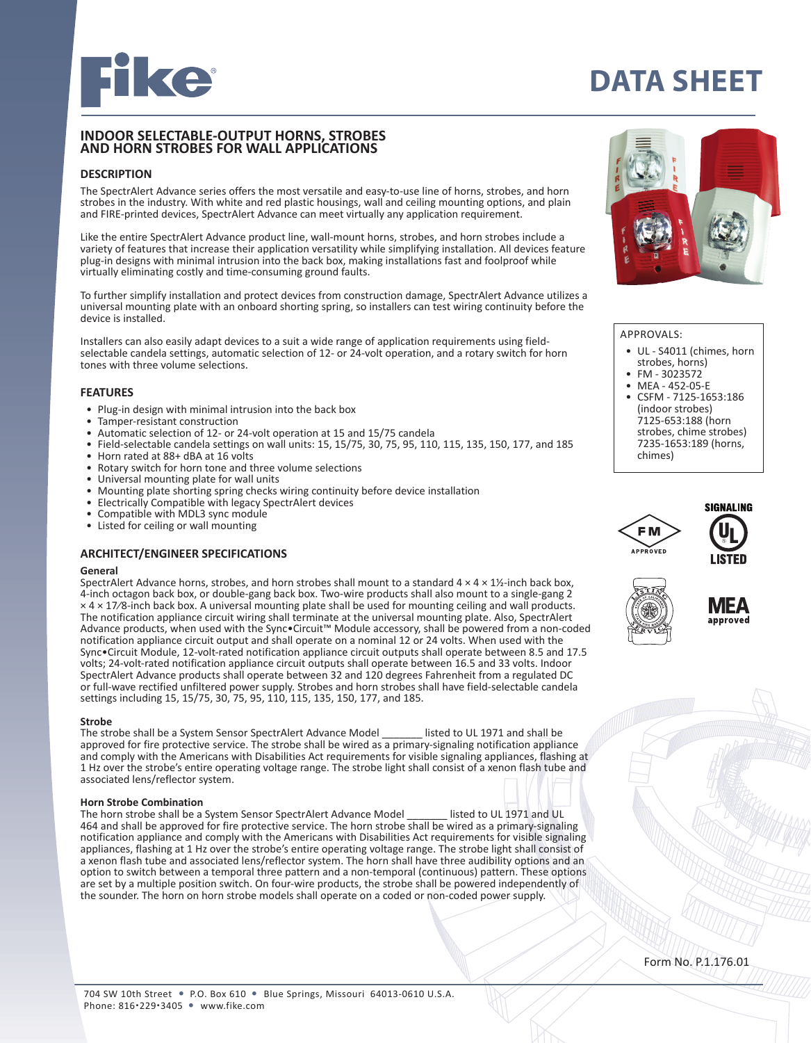

# **DATA SHEET**

## **INDOOR SELECTABLE-OUTPUT HORNS, STROBES AND HORN STROBES FOR WALL APPLICATIONS**

## **DESCRIPTION**

The SpectrAlert Advance series offers the most versatile and easy-to-use line of horns, strobes, and horn strobes in the industry. With white and red plastic housings, wall and ceiling mounting options, and plain and FIRE-printed devices, SpectrAlert Advance can meet virtually any application requirement.

Like the entire SpectrAlert Advance product line, wall-mount horns, strobes, and horn strobes include a variety of features that increase their application versatility while simplifying installation. All devices feature plug-in designs with minimal intrusion into the back box, making installations fast and foolproof while virtually eliminating costly and time-consuming ground faults.

To further simplify installation and protect devices from construction damage, SpectrAlert Advance utilizes a universal mounting plate with an onboard shorting spring, so installers can test wiring continuity before the device is installed.

Installers can also easily adapt devices to a suit a wide range of application requirements using fieldselectable candela settings, automatic selection of 12- or 24-volt operation, and a rotary switch for horn tones with three volume selections.

#### **FEATURES**

- Plug-in design with minimal intrusion into the back box
- Tamper-resistant construction<br>• Automatic selection of 12- or 2
- Automatic selection of 12- or 24-volt operation at 15 and 15/75 candela
- Field-selectable candela settings on wall units: 15, 15/75, 30, 75, 95, 110, 115, 135, 150, 177, and 185
- Horn rated at 88+ dBA at 16 volts
- Rotary switch for horn tone and three volume selections
- Universal mounting plate for wall units
- Mounting plate shorting spring checks wiring continuity before device installation<br>• Electrically Compatible with legacy Spectralert devices
- Electrically Compatible with legacy SpectrAlert devices
- Compatible with MDL3 sync module
- Listed for ceiling or wall mounting

## **ARCHITECT/ENGINEER SPECIFICATIONS**

## **General**

SpectrAlert Advance horns, strobes, and horn strobes shall mount to a standard  $4 \times 4 \times 1$ %-inch back box, 4-inch octagon back box, or double-gang back box. Two-wire products shall also mount to a single-gang 2 × 4 × 17⁄8-inch back box. A universal mounting plate shall be used for mounting ceiling and wall products. The notification appliance circuit wiring shall terminate at the universal mounting plate. Also, SpectrAlert Advance products, when used with the Sync•Circuit™ Module accessory, shall be powered from a non-coded notification appliance circuit output and shall operate on a nominal 12 or 24 volts. When used with the Sync•Circuit Module, 12-volt-rated notification appliance circuit outputs shall operate between 8.5 and 17.5 volts; 24-volt-rated notification appliance circuit outputs shall operate between 16.5 and 33 volts. Indoor SpectrAlert Advance products shall operate between 32 and 120 degrees Fahrenheit from a regulated DC or full-wave rectified unfiltered power supply. Strobes and horn strobes shall have field-selectable candela settings including 15, 15/75, 30, 75, 95, 110, 115, 135, 150, 177, and 185.

#### **Strobe**

The strobe shall be a System Sensor SpectrAlert Advance Model \_\_\_\_\_\_\_ listed to UL 1971 and shall be approved for fire protective service. The strobe shall be wired as a primary-signaling notification appliance and comply with the Americans with Disabilities Act requirements for visible signaling appliances, flashing at 1 Hz over the strobe's entire operating voltage range. The strobe light shall consist of a xenon flash tube and associated lens/reflector system.

#### **Horn Strobe Combination**

The horn strobe shall be a System Sensor SpectrAlert Advance Model \_\_\_\_\_\_\_ listed to UL 1971 and UL 464 and shall be approved for fire protective service. The horn strobe shall be wired as a primary-signaling notification appliance and comply with the Americans with Disabilities Act requirements for visible signaling appliances, flashing at 1 Hz over the strobe's entire operating voltage range. The strobe light shall consist of a xenon flash tube and associated lens/reflector system. The horn shall have three audibility options and an option to switch between a temporal three pattern and a non-temporal (continuous) pattern. These options are set by a multiple position switch. On four-wire products, the strobe shall be powered independently of the sounder. The horn on horn strobe models shall operate on a coded or non-coded power supply.



#### APPROVALS:

- UL S4011 (chimes, horn<br>strobes, horns)
- FM 3023572
- MEA 452-05-E • CSFM - 7125-1653:186 (indoor strobes) 7125-653:188 (horn strobes, chime strobes) 7235-1653:189 (horns, chimes)







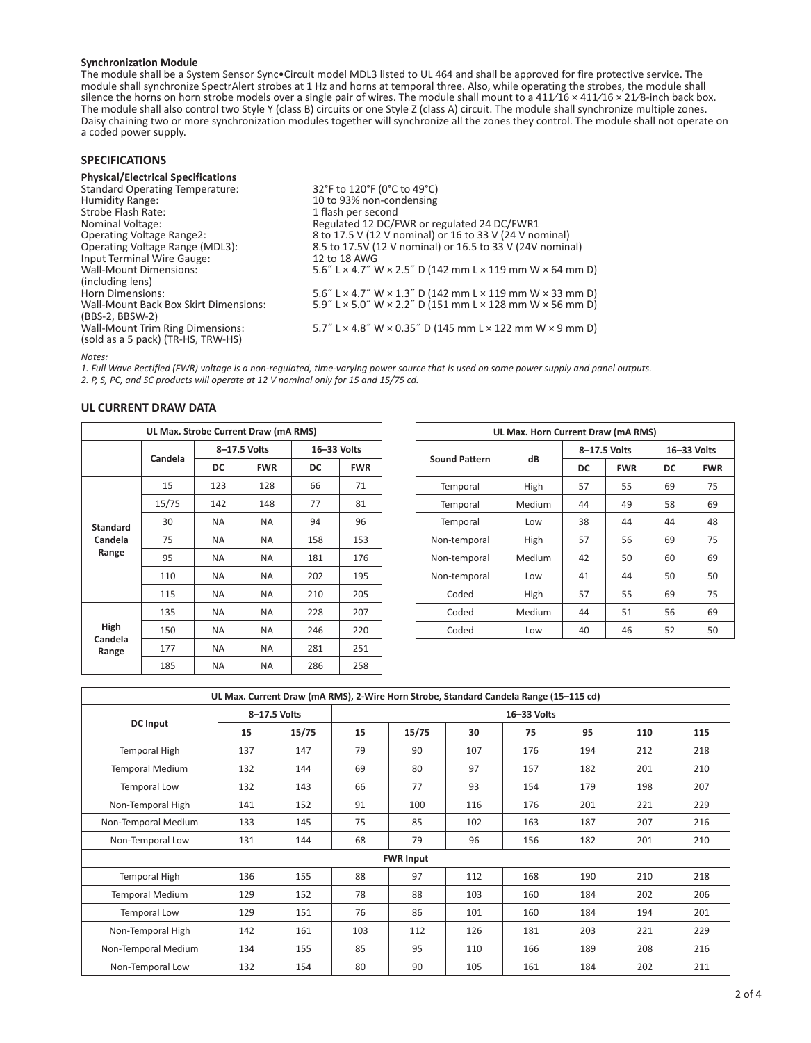#### **Synchronization Module**

The module shall be a System Sensor Sync•Circuit model MDL3 listed to UL 464 and shall be approved for fire protective service. The module shall synchronize SpectrAlert strobes at 1 Hz and horns at temporal three. Also, while operating the strobes, the module shall silence the horns on horn strobe models over a single pair of wires. The module shall mount to a  $411/16 \times 411/16 \times 21/8$ -inch back box. The module shall also control two Style Y (class B) circuits or one Style Z (class A) circuit. The module shall synchronize multiple zones. Daisy chaining two or more synchronization modules together will synchronize all the zones they control. The module shall not operate on a coded power supply.

| <b>SPECIFICATIONS</b>                                                               |                                                                                                                                         |
|-------------------------------------------------------------------------------------|-----------------------------------------------------------------------------------------------------------------------------------------|
| <b>Physical/Electrical Specifications</b>                                           |                                                                                                                                         |
| <b>Standard Operating Temperature:</b>                                              | 32°F to 120°F (0°C to 49°C)                                                                                                             |
| Humidity Range:                                                                     | 10 to 93% non-condensing                                                                                                                |
| Strobe Flash Rate:                                                                  | 1 flash per second                                                                                                                      |
| Nominal Voltage:                                                                    | Regulated 12 DC/FWR or regulated 24 DC/FWR1                                                                                             |
| <b>Operating Voltage Range2:</b>                                                    | 8 to 17.5 V (12 V nominal) or 16 to 33 V (24 V nominal)                                                                                 |
| Operating Voltage Range (MDL3):                                                     | 8.5 to 17.5V (12 V nominal) or 16.5 to 33 V (24V nominal)                                                                               |
| Input Terminal Wire Gauge:                                                          | 12 to 18 AWG                                                                                                                            |
| <b>Wall-Mount Dimensions:</b>                                                       | 5.6" L $\times$ 4.7" W $\times$ 2.5" D (142 mm L $\times$ 119 mm W $\times$ 64 mm D)                                                    |
| (including lens)                                                                    |                                                                                                                                         |
| Horn Dimensions:                                                                    | 5.6" L × 4.7" W × 1.3" D (142 mm L × 119 mm W × 33 mm D)                                                                                |
| Wall-Mount Back Box Skirt Dimensions:                                               | $5.9''$ L $\times$ 5.0" W $\times$ 2.2" D (151 mm L $\times$ 128 mm W $\times$ 56 mm D)                                                 |
| (BBS-2, BBSW-2)                                                                     |                                                                                                                                         |
| <b>Wall-Mount Trim Ring Dimensions:</b>                                             | 5.7" L $\times$ 4.8" W $\times$ 0.35" D (145 mm L $\times$ 122 mm W $\times$ 9 mm D)                                                    |
| (sold as a 5 pack) (TR-HS, TRW-HS)                                                  |                                                                                                                                         |
| Notes:                                                                              |                                                                                                                                         |
|                                                                                     | 1. Full Wave Rectified (FWR) voltage is a non-regulated, time-varying power source that is used on some power supply and panel outputs. |
|                                                                                     |                                                                                                                                         |
| 2. P, S, PC, and SC products will operate at 12 V nominal only for 15 and 15/75 cd. |                                                                                                                                         |

## **UL CURRENT DRAW DATA**

| UL Max. Strobe Current Draw (mA RMS) |         |              |             |     |            |  |  |  |
|--------------------------------------|---------|--------------|-------------|-----|------------|--|--|--|
|                                      | Candela | 8-17.5 Volts | 16-33 Volts |     |            |  |  |  |
|                                      |         | DC           | <b>FWR</b>  | DC  | <b>FWR</b> |  |  |  |
|                                      | 15      | 123          | 128         | 66  | 71         |  |  |  |
|                                      | 15/75   | 142          | 148         | 77  | 81         |  |  |  |
| <b>Standard</b>                      | 30      | NA.          | <b>NA</b>   | 94  | 96         |  |  |  |
| Candela                              | 75      | NA.          | <b>NA</b>   | 158 | 153        |  |  |  |
| Range                                | 95      | NA.          | <b>NA</b>   | 181 | 176        |  |  |  |
|                                      | 110     | NA.          | <b>NA</b>   | 202 | 195        |  |  |  |
|                                      | 115     | NA.          | <b>NA</b>   | 210 | 205        |  |  |  |
|                                      | 135     | NA.          | <b>NA</b>   | 228 | 207        |  |  |  |
| High                                 | 150     | NA.          | <b>NA</b>   | 246 | 220        |  |  |  |
| Candela<br>Range                     | 177     | NA.          | <b>NA</b>   | 281 | 251        |  |  |  |
|                                      | 185     | NA           | <b>NA</b>   | 286 | 258        |  |  |  |

| UL Max. Horn Current Draw (mA RMS) |        |              |            |             |            |  |  |
|------------------------------------|--------|--------------|------------|-------------|------------|--|--|
|                                    |        | 8-17.5 Volts |            | 16-33 Volts |            |  |  |
| <b>Sound Pattern</b>               | dB     | DC           | <b>FWR</b> | DC          | <b>FWR</b> |  |  |
| Temporal                           | High   | 57           | 55         | 69          | 75         |  |  |
| Temporal                           | Medium | 44           | 49         | 58          | 69         |  |  |
| Temporal                           | Low    | 38           | 44         | 44          | 48         |  |  |
| Non-temporal                       | High   | 57           | 56         | 69          | 75         |  |  |
| Non-temporal                       | Medium | 42           | 50         | 60          | 69         |  |  |
| Non-temporal                       | Low    | 41           | 44         | 50          | 50         |  |  |
| Coded                              | High   | 57           | 55         | 69          | 75         |  |  |
| Coded                              | Medium | 44           | 51         | 56          | 69         |  |  |
| Coded                              | Low    | 40           | 46         | 52          | 50         |  |  |

| UL Max. Current Draw (mA RMS), 2-Wire Horn Strobe, Standard Candela Range (15-115 cd) |              |       |     |                  |     |     |     |     |     |  |  |
|---------------------------------------------------------------------------------------|--------------|-------|-----|------------------|-----|-----|-----|-----|-----|--|--|
|                                                                                       | 8-17.5 Volts |       |     | 16-33 Volts      |     |     |     |     |     |  |  |
| <b>DC Input</b>                                                                       | 15           | 15/75 | 15  | 15/75            | 30  | 75  | 95  | 110 | 115 |  |  |
| Temporal High                                                                         | 137          | 147   | 79  | 90               | 107 | 176 | 194 | 212 | 218 |  |  |
| <b>Temporal Medium</b>                                                                | 132          | 144   | 69  | 80               | 97  | 157 | 182 | 201 | 210 |  |  |
| Temporal Low                                                                          | 132          | 143   | 66  | 77               | 93  | 154 | 179 | 198 | 207 |  |  |
| Non-Temporal High                                                                     | 141          | 152   | 91  | 100              | 116 | 176 | 201 | 221 | 229 |  |  |
| Non-Temporal Medium                                                                   | 133          | 145   | 75  | 85               | 102 | 163 | 187 | 207 | 216 |  |  |
| Non-Temporal Low                                                                      | 131          | 144   | 68  | 79               | 96  | 156 | 182 | 201 | 210 |  |  |
|                                                                                       |              |       |     | <b>FWR Input</b> |     |     |     |     |     |  |  |
| Temporal High                                                                         | 136          | 155   | 88  | 97               | 112 | 168 | 190 | 210 | 218 |  |  |
| <b>Temporal Medium</b>                                                                | 129          | 152   | 78  | 88               | 103 | 160 | 184 | 202 | 206 |  |  |
| Temporal Low                                                                          | 129          | 151   | 76  | 86               | 101 | 160 | 184 | 194 | 201 |  |  |
| Non-Temporal High                                                                     | 142          | 161   | 103 | 112              | 126 | 181 | 203 | 221 | 229 |  |  |
| Non-Temporal Medium                                                                   | 134          | 155   | 85  | 95               | 110 | 166 | 189 | 208 | 216 |  |  |
| Non-Temporal Low                                                                      | 132          | 154   | 80  | 90               | 105 | 161 | 184 | 202 | 211 |  |  |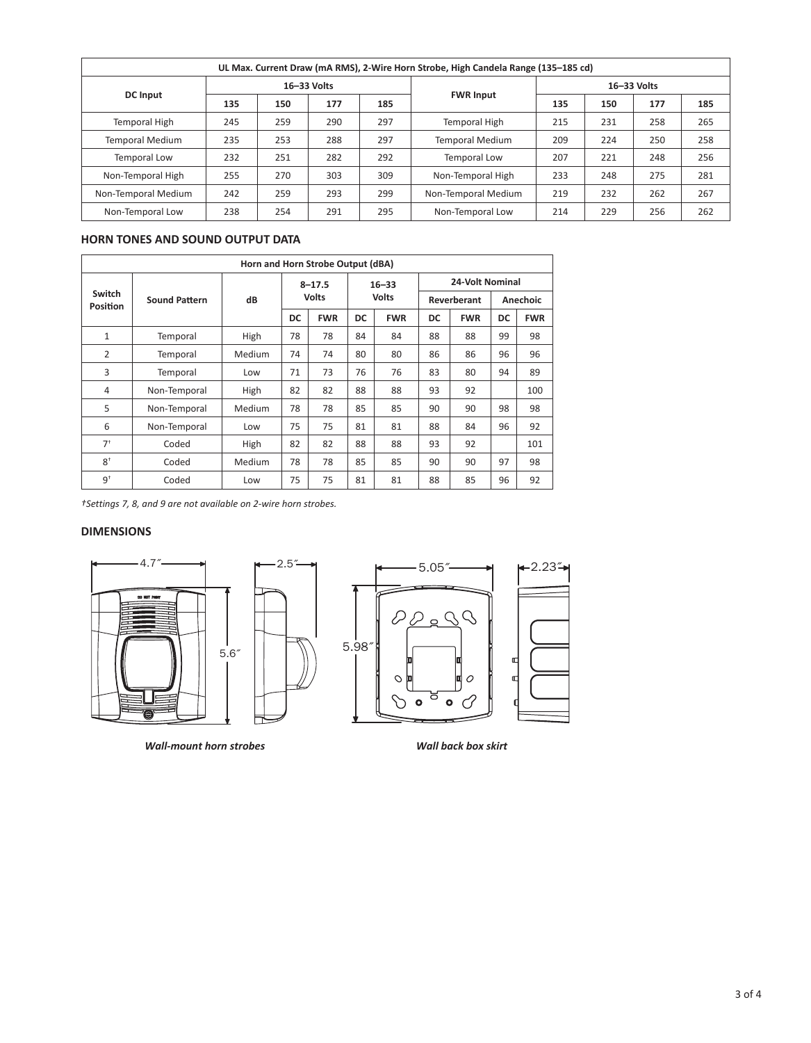| UL Max. Current Draw (mA RMS), 2-Wire Horn Strobe, High Candela Range (135-185 cd) |     |     |             |     |                        |             |     |     |     |
|------------------------------------------------------------------------------------|-----|-----|-------------|-----|------------------------|-------------|-----|-----|-----|
|                                                                                    |     |     | 16-33 Volts |     |                        | 16-33 Volts |     |     |     |
| <b>DC</b> Input                                                                    | 135 | 150 | 177         | 185 | <b>FWR Input</b>       | 135         | 150 | 177 | 185 |
| <b>Temporal High</b>                                                               | 245 | 259 | 290         | 297 | Temporal High          | 215         | 231 | 258 | 265 |
| <b>Temporal Medium</b>                                                             | 235 | 253 | 288         | 297 | <b>Temporal Medium</b> | 209         | 224 | 250 | 258 |
| <b>Temporal Low</b>                                                                | 232 | 251 | 282         | 292 | Temporal Low           | 207         | 221 | 248 | 256 |
| Non-Temporal High                                                                  | 255 | 270 | 303         | 309 | Non-Temporal High      | 233         | 248 | 275 | 281 |
| Non-Temporal Medium                                                                | 242 | 259 | 293         | 299 | Non-Temporal Medium    | 219         | 232 | 262 | 267 |
| Non-Temporal Low                                                                   | 238 | 254 | 291         | 295 | Non-Temporal Low       | 214         | 229 | 256 | 262 |

## **HORN TONES AND SOUND OUTPUT DATA**

| Horn and Horn Strobe Output (dBA) |                      |        |              |            |              |            |                        |            |          |            |
|-----------------------------------|----------------------|--------|--------------|------------|--------------|------------|------------------------|------------|----------|------------|
|                                   |                      |        | $8 - 17.5$   |            | $16 - 33$    |            | <b>24-Volt Nominal</b> |            |          |            |
| Switch<br>Position                | <b>Sound Pattern</b> | dB     | <b>Volts</b> |            | <b>Volts</b> |            | Reverberant            |            | Anechoic |            |
|                                   |                      |        | DC           | <b>FWR</b> | DC           | <b>FWR</b> | DC                     | <b>FWR</b> | DC       | <b>FWR</b> |
| 1                                 | Temporal             | High   | 78           | 78         | 84           | 84         | 88                     | 88         | 99       | 98         |
| 2                                 | Temporal             | Medium | 74           | 74         | 80           | 80         | 86                     | 86         | 96       | 96         |
| 3                                 | Temporal             | Low    | 71           | 73         | 76           | 76         | 83                     | 80         | 94       | 89         |
| $\overline{4}$                    | Non-Temporal         | High   | 82           | 82         | 88           | 88         | 93                     | 92         |          | 100        |
| 5                                 | Non-Temporal         | Medium | 78           | 78         | 85           | 85         | 90                     | 90         | 98       | 98         |
| 6                                 | Non-Temporal         | Low    | 75           | 75         | 81           | 81         | 88                     | 84         | 96       | 92         |
| $7+$                              | Coded                | High   | 82           | 82         | 88           | 88         | 93                     | 92         |          | 101        |
| $8^+$                             | Coded                | Medium | 78           | 78         | 85           | 85         | 90                     | 90         | 97       | 98         |
| 9 <sup>†</sup>                    | Coded                | Low    | 75           | 75         | 81           | 81         | 88                     | 85         | 96       | 92         |

*†Settings 7, 8, and 9 are not available on 2-wire horn strobes.*

# **DIMENSIONS**